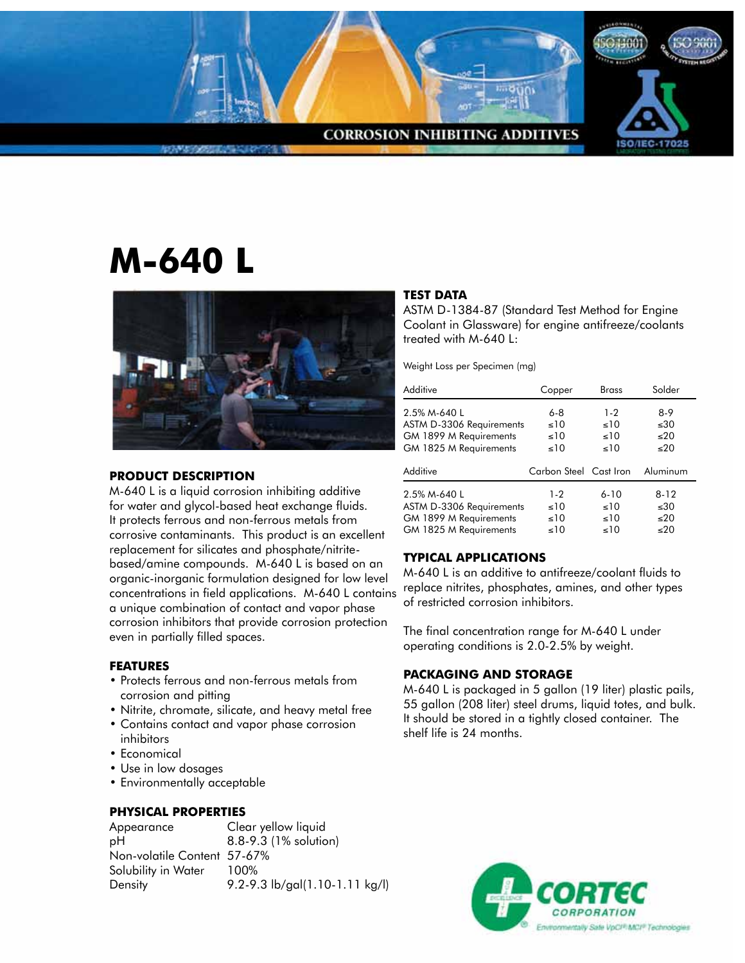

# **M-640 L**



### **PRODUCT DESCRIPTION**

M-640 L is a liquid corrosion inhibiting additive for water and glycol-based heat exchange fluids. It protects ferrous and non-ferrous metals from corrosive contaminants. This product is an excellent replacement for silicates and phosphate/nitritebased/amine compounds. M-640 L is based on an organic-inorganic formulation designed for low level concentrations in field applications. M-640 L contains a unique combination of contact and vapor phase corrosion inhibitors that provide corrosion protection even in partially filled spaces.

#### **FEATURES**

- Protects ferrous and non-ferrous metals from corrosion and pitting
- Nitrite, chromate, silicate, and heavy metal free
- Contains contact and vapor phase corrosion inhibitors
- Economical
- Use in low dosages
- Environmentally acceptable

## **PHYSICAL PROPERTIES**

| Appearance                  | Clear yellow liquid            |
|-----------------------------|--------------------------------|
| рH                          | 8.8-9.3 (1% solution)          |
| Non-volatile Content 57-67% |                                |
| Solubility in Water         | 100%                           |
| Density                     | 9.2-9.3 lb/gal(1.10-1.11 kg/l) |

#### **TEST DATA**

ASTM D-1384-87 (Standard Test Method for Engine Coolant in Glassware) for engine antifreeze/coolants treated with M-640 L:

Weight Loss per Specimen (mg)

| Additive                                                                                     | Copper                                         | <b>Brass</b>                 | Solder                          |
|----------------------------------------------------------------------------------------------|------------------------------------------------|------------------------------|---------------------------------|
| 2.5% M-640 L<br>ASTM D-3306 Requirements<br>GM 1899 M Requirements<br>GM 1825 M Requirements | $6 - 8$<br>$\leq 10$<br>$\leq 10$<br>$\leq 10$ | $1 - 2$<br>10<<br>10<<br>10< | $8-9$<br>$\leq 30$<br>20<br>30< |
|                                                                                              |                                                |                              |                                 |
| Additive                                                                                     | Carbon Steel Cast Iron                         |                              | Aluminum                        |

#### **TYPICAL APPLICATIONS**

M-640 L is an additive to antifreeze/coolant fluids to replace nitrites, phosphates, amines, and other types of restricted corrosion inhibitors.

The final concentration range for M-640 L under operating conditions is 2.0-2.5% by weight.

#### **PACKAGING AND STORAGE**

M-640 L is packaged in 5 gallon (19 liter) plastic pails, 55 gallon (208 liter) steel drums, liquid totes, and bulk. It should be stored in a tightly closed container. The shelf life is 24 months.